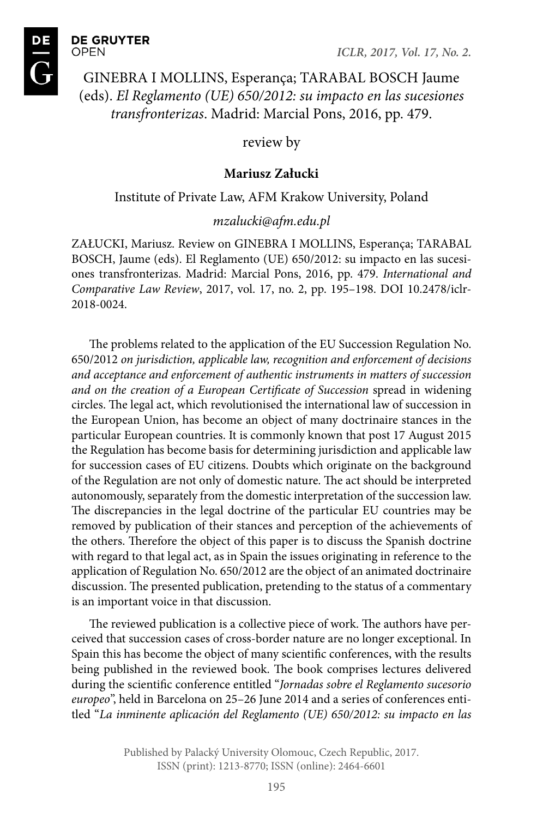**DE GRUYTER OPEN** 



GINEBRA I MOLLINS, Esperança; TARABAL BOSCH Jaume (eds). *El Reglamento (UE) 650/2012: su impacto en las sucesiones transfronterizas*. Madrid: Marcial Pons, 2016, pp. 479.

review by

## **Mariusz Załucki**

## Institute of Private Law, AFM Krakow University, Poland

## *mzalucki@afm.edu.pl*

ZAŁUCKI, Mariusz. Review on GINEBRA I MOLLINS, Esperança; TARABAL BOSCH, Jaume (eds). El Reglamento (UE) 650/2012: su impacto en las sucesiones transfronterizas. Madrid: Marcial Pons, 2016, pp. 479. *International and Comparative Law Review*, 2017, vol. 17, no. 2, pp. 195–198. DOI 10.2478/iclr-2018-0024.

The problems related to the application of the EU Succession Regulation No. 650/2012 *on jurisdiction, applicable law, recognition and enforcement of decisions and acceptance and enforcement of authentic instruments in matters of succession and on the creation of a European Certificate of Succession* spread in widening circles. The legal act, which revolutionised the international law of succession in the European Union, has become an object of many doctrinaire stances in the particular European countries. It is commonly known that post 17 August 2015 the Regulation has become basis for determining jurisdiction and applicable law for succession cases of EU citizens. Doubts which originate on the background of the Regulation are not only of domestic nature. The act should be interpreted autonomously, separately from the domestic interpretation of the succession law. The discrepancies in the legal doctrine of the particular EU countries may be removed by publication of their stances and perception of the achievements of the others. Therefore the object of this paper is to discuss the Spanish doctrine with regard to that legal act, as in Spain the issues originating in reference to the application of Regulation No. 650/2012 are the object of an animated doctrinaire discussion. The presented publication, pretending to the status of a commentary is an important voice in that discussion.

The reviewed publication is a collective piece of work. The authors have perceived that succession cases of cross-border nature are no longer exceptional. In Spain this has become the object of many scientific conferences, with the results being published in the reviewed book. The book comprises lectures delivered during the scientific conference entitled "*Jornadas sobre el Reglamento sucesorio europeo*", held in Barcelona on 25–26 June 2014 and a series of conferences entitled "*La inminente aplicación del Reglamento (UE) 650/2012: su impacto en las* 

> Published by Palacký University Olomouc, Czech Republic, 2017. ISSN (print): 1213-8770; ISSN (online): 2464-6601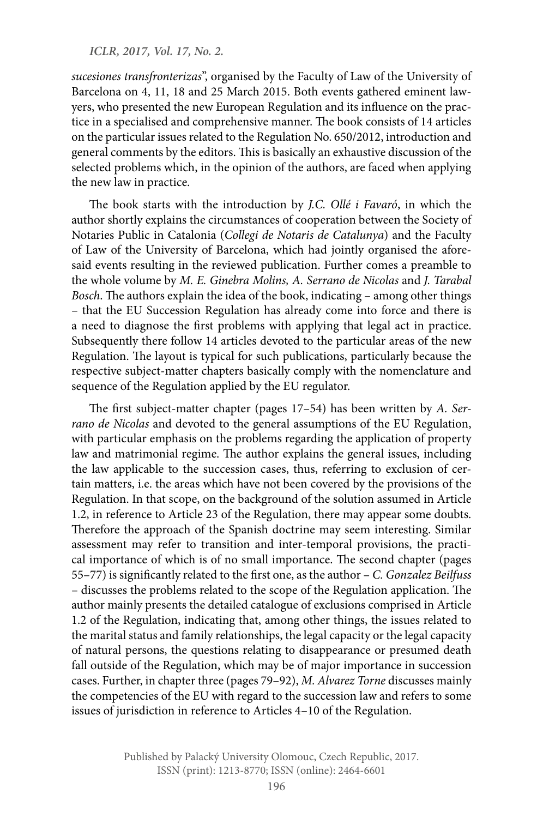*ICLR, 2017, Vol. 17, No. 2.*

*sucesiones transfronterizas*", organised by the Faculty of Law of the University of Barcelona on 4, 11, 18 and 25 March 2015. Both events gathered eminent lawyers, who presented the new European Regulation and its influence on the practice in a specialised and comprehensive manner. The book consists of 14 articles on the particular issues related to the Regulation No. 650/2012, introduction and general comments by the editors. This is basically an exhaustive discussion of the selected problems which, in the opinion of the authors, are faced when applying the new law in practice.

The book starts with the introduction by *J.C. Ollé i Favaró*, in which the author shortly explains the circumstances of cooperation between the Society of Notaries Public in Catalonia (*Collegi de Notaris de Catalunya*) and the Faculty of Law of the University of Barcelona, which had jointly organised the aforesaid events resulting in the reviewed publication. Further comes a preamble to the whole volume by *M. E. Ginebra Molins, A. Serrano de Nicolas* and *J. Tarabal Bosch*. The authors explain the idea of the book, indicating – among other things – that the EU Succession Regulation has already come into force and there is a need to diagnose the first problems with applying that legal act in practice. Subsequently there follow 14 articles devoted to the particular areas of the new Regulation. The layout is typical for such publications, particularly because the respective subject-matter chapters basically comply with the nomenclature and sequence of the Regulation applied by the EU regulator.

The first subject-matter chapter (pages 17–54) has been written by *A. Serrano de Nicolas* and devoted to the general assumptions of the EU Regulation, with particular emphasis on the problems regarding the application of property law and matrimonial regime. The author explains the general issues, including the law applicable to the succession cases, thus, referring to exclusion of certain matters, i.e. the areas which have not been covered by the provisions of the Regulation. In that scope, on the background of the solution assumed in Article 1.2, in reference to Article 23 of the Regulation, there may appear some doubts. Therefore the approach of the Spanish doctrine may seem interesting. Similar assessment may refer to transition and inter-temporal provisions, the practical importance of which is of no small importance. The second chapter (pages 55–77) is significantly related to the first one, as the author – *C. Gonzalez Beilfuss* – discusses the problems related to the scope of the Regulation application. The author mainly presents the detailed catalogue of exclusions comprised in Article 1.2 of the Regulation, indicating that, among other things, the issues related to the marital status and family relationships, the legal capacity or the legal capacity of natural persons, the questions relating to disappearance or presumed death fall outside of the Regulation, which may be of major importance in succession cases. Further, in chapter three (pages 79–92), *M. Alvarez Torne* discusses mainly the competencies of the EU with regard to the succession law and refers to some issues of jurisdiction in reference to Articles 4–10 of the Regulation.

> Published by Palacký University Olomouc, Czech Republic, 2017. ISSN (print): 1213-8770; ISSN (online): 2464-6601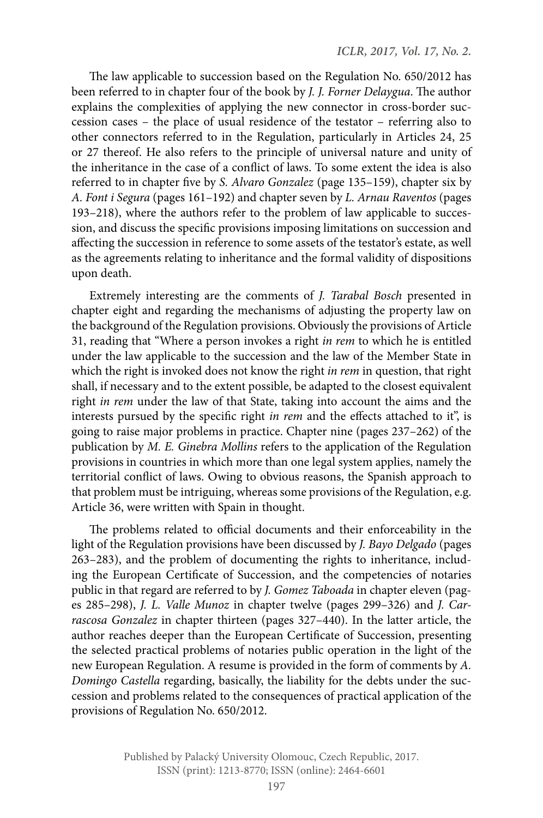The law applicable to succession based on the Regulation No. 650/2012 has been referred to in chapter four of the book by *J. J. Forner Delaygua*. The author explains the complexities of applying the new connector in cross-border succession cases – the place of usual residence of the testator – referring also to other connectors referred to in the Regulation, particularly in Articles 24, 25 or 27 thereof. He also refers to the principle of universal nature and unity of the inheritance in the case of a conflict of laws. To some extent the idea is also referred to in chapter five by *S. Alvaro Gonzalez* (page 135–159), chapter six by *A. Font i Segura* (pages 161–192) and chapter seven by *L. Arnau Raventos* (pages 193–218), where the authors refer to the problem of law applicable to succession, and discuss the specific provisions imposing limitations on succession and affecting the succession in reference to some assets of the testator's estate, as well as the agreements relating to inheritance and the formal validity of dispositions upon death.

Extremely interesting are the comments of *J. Tarabal Bosch* presented in chapter eight and regarding the mechanisms of adjusting the property law on the background of the Regulation provisions. Obviously the provisions of Article 31, reading that "Where a person invokes a right *in rem* to which he is entitled under the law applicable to the succession and the law of the Member State in which the right is invoked does not know the right *in rem* in question, that right shall, if necessary and to the extent possible, be adapted to the closest equivalent right *in rem* under the law of that State, taking into account the aims and the interests pursued by the specific right *in rem* and the effects attached to it", is going to raise major problems in practice. Chapter nine (pages 237–262) of the publication by *M. E. Ginebra Mollins* refers to the application of the Regulation provisions in countries in which more than one legal system applies, namely the territorial conflict of laws. Owing to obvious reasons, the Spanish approach to that problem must be intriguing, whereas some provisions of the Regulation, e.g. Article 36, were written with Spain in thought.

The problems related to official documents and their enforceability in the light of the Regulation provisions have been discussed by *J. Bayo Delgado* (pages 263–283), and the problem of documenting the rights to inheritance, including the European Certificate of Succession, and the competencies of notaries public in that regard are referred to by *J. Gomez Taboada* in chapter eleven (pages 285–298), *J. L. Valle Munoz* in chapter twelve (pages 299–326) and *J. Carrascosa Gonzalez* in chapter thirteen (pages 327–440). In the latter article, the author reaches deeper than the European Certificate of Succession, presenting the selected practical problems of notaries public operation in the light of the new European Regulation. A resume is provided in the form of comments by *A. Domingo Castella* regarding, basically, the liability for the debts under the succession and problems related to the consequences of practical application of the provisions of Regulation No. 650/2012.

> Published by Palacký University Olomouc, Czech Republic, 2017. ISSN (print): 1213-8770; ISSN (online): 2464-6601